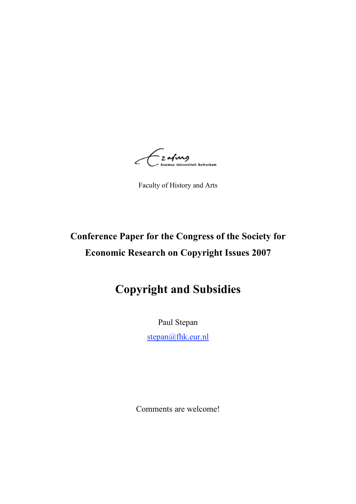2 a**/vang**<br>- 2 a**/vang**<br>- Erasmus Universiteit Rotterdam L.

Faculty of History and Arts

# **Conference Paper for the Congress of the Society for Economic Research on Copyright Issues 2007**

# **Copyright and Subsidies**

Paul Stepan

stepan@fhk.eur.nl

Comments are welcome!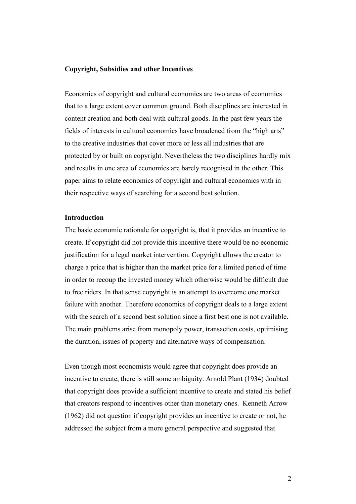#### **Copyright, Subsidies and other Incentives**

Economics of copyright and cultural economics are two areas of economics that to a large extent cover common ground. Both disciplines are interested in content creation and both deal with cultural goods. In the past few years the fields of interests in cultural economics have broadened from the "high arts" to the creative industries that cover more or less all industries that are protected by or built on copyright. Nevertheless the two disciplines hardly mix and results in one area of economics are barely recognised in the other. This paper aims to relate economics of copyright and cultural economics with in their respective ways of searching for a second best solution.

#### **Introduction**

The basic economic rationale for copyright is, that it provides an incentive to create. If copyright did not provide this incentive there would be no economic justification for a legal market intervention. Copyright allows the creator to charge a price that is higher than the market price for a limited period of time in order to recoup the invested money which otherwise would be difficult due to free riders. In that sense copyright is an attempt to overcome one market failure with another. Therefore economics of copyright deals to a large extent with the search of a second best solution since a first best one is not available. The main problems arise from monopoly power, transaction costs, optimising the duration, issues of property and alternative ways of compensation.

Even though most economists would agree that copyright does provide an incentive to create, there is still some ambiguity. Arnold Plant (1934) doubted that copyright does provide a sufficient incentive to create and stated his belief that creators respond to incentives other than monetary ones. Kenneth Arrow (1962) did not question if copyright provides an incentive to create or not, he addressed the subject from a more general perspective and suggested that

2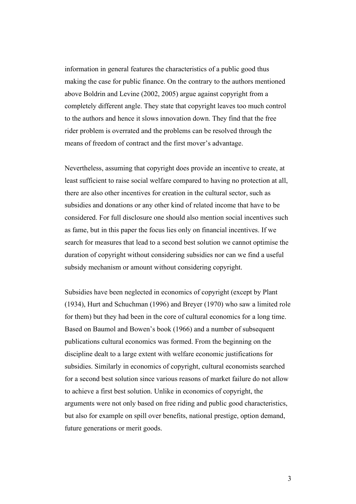information in general features the characteristics of a public good thus making the case for public finance. On the contrary to the authors mentioned above Boldrin and Levine (2002, 2005) argue against copyright from a completely different angle. They state that copyright leaves too much control to the authors and hence it slows innovation down. They find that the free rider problem is overrated and the problems can be resolved through the means of freedom of contract and the first mover's advantage.

Nevertheless, assuming that copyright does provide an incentive to create, at least sufficient to raise social welfare compared to having no protection at all, there are also other incentives for creation in the cultural sector, such as subsidies and donations or any other kind of related income that have to be considered. For full disclosure one should also mention social incentives such as fame, but in this paper the focus lies only on financial incentives. If we search for measures that lead to a second best solution we cannot optimise the duration of copyright without considering subsidies nor can we find a useful subsidy mechanism or amount without considering copyright.

Subsidies have been neglected in economics of copyright (except by Plant (1934), Hurt and Schuchman (1996) and Breyer (1970) who saw a limited role for them) but they had been in the core of cultural economics for a long time. Based on Baumol and Bowen's book (1966) and a number of subsequent publications cultural economics was formed. From the beginning on the discipline dealt to a large extent with welfare economic justifications for subsidies. Similarly in economics of copyright, cultural economists searched for a second best solution since various reasons of market failure do not allow to achieve a first best solution. Unlike in economics of copyright, the arguments were not only based on free riding and public good characteristics, but also for example on spill over benefits, national prestige, option demand, future generations or merit goods.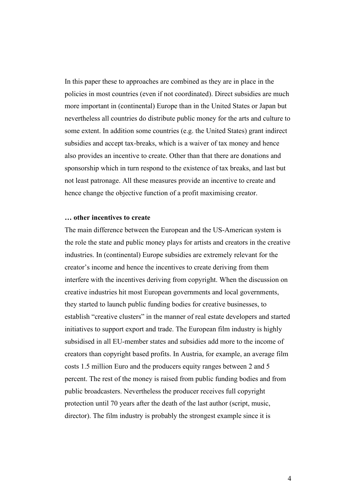In this paper these to approaches are combined as they are in place in the policies in most countries (even if not coordinated). Direct subsidies are much more important in (continental) Europe than in the United States or Japan but nevertheless all countries do distribute public money for the arts and culture to some extent. In addition some countries (e.g. the United States) grant indirect subsidies and accept tax-breaks, which is a waiver of tax money and hence also provides an incentive to create. Other than that there are donations and sponsorship which in turn respond to the existence of tax breaks, and last but not least patronage. All these measures provide an incentive to create and hence change the objective function of a profit maximising creator.

#### **… other incentives to create**

The main difference between the European and the US-American system is the role the state and public money plays for artists and creators in the creative industries. In (continental) Europe subsidies are extremely relevant for the creator's income and hence the incentives to create deriving from them interfere with the incentives deriving from copyright. When the discussion on creative industries hit most European governments and local governments, they started to launch public funding bodies for creative businesses, to establish "creative clusters" in the manner of real estate developers and started initiatives to support export and trade. The European film industry is highly subsidised in all EU-member states and subsidies add more to the income of creators than copyright based profits. In Austria, for example, an average film costs 1.5 million Euro and the producers equity ranges between 2 and 5 percent. The rest of the money is raised from public funding bodies and from public broadcasters. Nevertheless the producer receives full copyright protection until 70 years after the death of the last author (script, music, director). The film industry is probably the strongest example since it is

4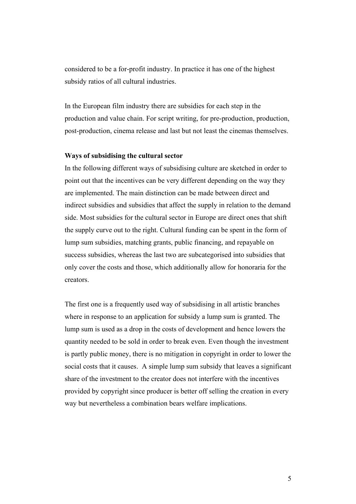considered to be a for-profit industry. In practice it has one of the highest subsidy ratios of all cultural industries.

In the European film industry there are subsidies for each step in the production and value chain. For script writing, for pre-production, production, post-production, cinema release and last but not least the cinemas themselves.

#### **Ways of subsidising the cultural sector**

In the following different ways of subsidising culture are sketched in order to point out that the incentives can be very different depending on the way they are implemented. The main distinction can be made between direct and indirect subsidies and subsidies that affect the supply in relation to the demand side. Most subsidies for the cultural sector in Europe are direct ones that shift the supply curve out to the right. Cultural funding can be spent in the form of lump sum subsidies, matching grants, public financing, and repayable on success subsidies, whereas the last two are subcategorised into subsidies that only cover the costs and those, which additionally allow for honoraria for the creators.

The first one is a frequently used way of subsidising in all artistic branches where in response to an application for subsidy a lump sum is granted. The lump sum is used as a drop in the costs of development and hence lowers the quantity needed to be sold in order to break even. Even though the investment is partly public money, there is no mitigation in copyright in order to lower the social costs that it causes. A simple lump sum subsidy that leaves a significant share of the investment to the creator does not interfere with the incentives provided by copyright since producer is better off selling the creation in every way but nevertheless a combination bears welfare implications.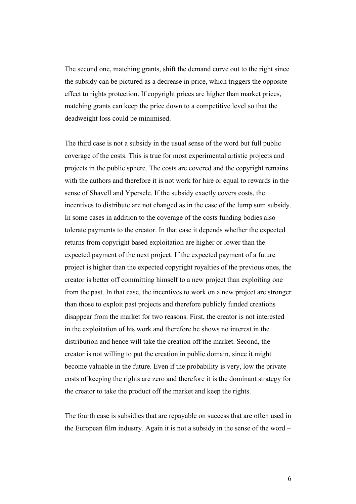The second one, matching grants, shift the demand curve out to the right since the subsidy can be pictured as a decrease in price, which triggers the opposite effect to rights protection. If copyright prices are higher than market prices, matching grants can keep the price down to a competitive level so that the deadweight loss could be minimised.

The third case is not a subsidy in the usual sense of the word but full public coverage of the costs. This is true for most experimental artistic projects and projects in the public sphere. The costs are covered and the copyright remains with the authors and therefore it is not work for hire or equal to rewards in the sense of Shavell and Ypersele. If the subsidy exactly covers costs, the incentives to distribute are not changed as in the case of the lump sum subsidy. In some cases in addition to the coverage of the costs funding bodies also tolerate payments to the creator. In that case it depends whether the expected returns from copyright based exploitation are higher or lower than the expected payment of the next project. If the expected payment of a future project is higher than the expected copyright royalties of the previous ones, the creator is better off committing himself to a new project than exploiting one from the past. In that case, the incentives to work on a new project are stronger than those to exploit past projects and therefore publicly funded creations disappear from the market for two reasons. First, the creator is not interested in the exploitation of his work and therefore he shows no interest in the distribution and hence will take the creation off the market. Second, the creator is not willing to put the creation in public domain, since it might become valuable in the future. Even if the probability is very, low the private costs of keeping the rights are zero and therefore it is the dominant strategy for the creator to take the product off the market and keep the rights.

The fourth case is subsidies that are repayable on success that are often used in the European film industry. Again it is not a subsidy in the sense of the word –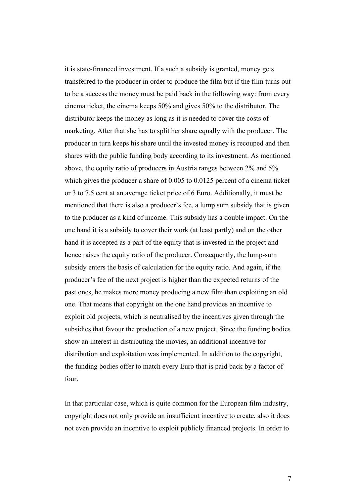it is state-financed investment. If a such a subsidy is granted, money gets transferred to the producer in order to produce the film but if the film turns out to be a success the money must be paid back in the following way: from every cinema ticket, the cinema keeps 50% and gives 50% to the distributor. The distributor keeps the money as long as it is needed to cover the costs of marketing. After that she has to split her share equally with the producer. The producer in turn keeps his share until the invested money is recouped and then shares with the public funding body according to its investment. As mentioned above, the equity ratio of producers in Austria ranges between 2% and 5% which gives the producer a share of 0.005 to 0.0125 percent of a cinema ticket or 3 to 7.5 cent at an average ticket price of 6 Euro. Additionally, it must be mentioned that there is also a producer's fee, a lump sum subsidy that is given to the producer as a kind of income. This subsidy has a double impact. On the one hand it is a subsidy to cover their work (at least partly) and on the other hand it is accepted as a part of the equity that is invested in the project and hence raises the equity ratio of the producer. Consequently, the lump-sum subsidy enters the basis of calculation for the equity ratio. And again, if the producer's fee of the next project is higher than the expected returns of the past ones, he makes more money producing a new film than exploiting an old one. That means that copyright on the one hand provides an incentive to exploit old projects, which is neutralised by the incentives given through the subsidies that favour the production of a new project. Since the funding bodies show an interest in distributing the movies, an additional incentive for distribution and exploitation was implemented. In addition to the copyright, the funding bodies offer to match every Euro that is paid back by a factor of four.

In that particular case, which is quite common for the European film industry, copyright does not only provide an insufficient incentive to create, also it does not even provide an incentive to exploit publicly financed projects. In order to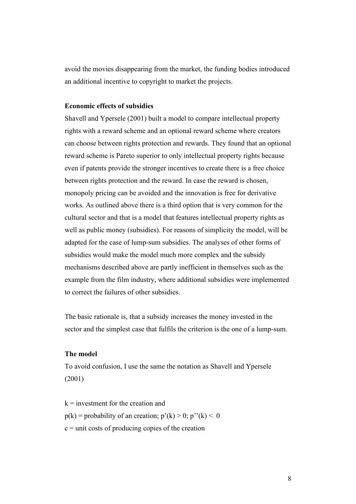avoid the movies disappearing from the market, the funding bodies introduced an additional incentive to copyright to market the projects.

## **Economic effects of subsidies**

Shavell and Ypersele (2001) built a model to compare intellectual property rights with a reward scheme and an optional reward scheme where creators can choose between rights protection and rewards. They found that an optional reward scheme is Pareto superior to only intellectual property rights because even if patents provide the stronger incentives to create there is a free choice between rights protection and the reward. In case the reward is chosen, monopoly pricing can be avoided and the innovation is free for derivative works. As outlined above there is a third option that is very common for the cultural sector and that is a model that features intellectual property rights as well as public money (subsidies). For reasons of simplicity the model, will be adapted for the case of lump-sum subsidies. The analyses of other forms of subsidies would make the model much more complex and the subsidy mechanisms described above are partly inefficient in themselves such as the example from the film industry, where additional subsidies were implemented to correct the failures of other subsidies.

The basic rationale is, that a subsidy increases the money invested in the sector and the simplest case that fulfils the criterion is the one of a lump-sum.

### **The model**

To avoid confusion, I use the same the notation as Shavell and Ypersele (2001)

 $k =$  investment for the creation and  $p(k)$  = probability of an creation;  $p'(k) > 0$ ;  $p''(k) < 0$  $c =$  unit costs of producing copies of the creation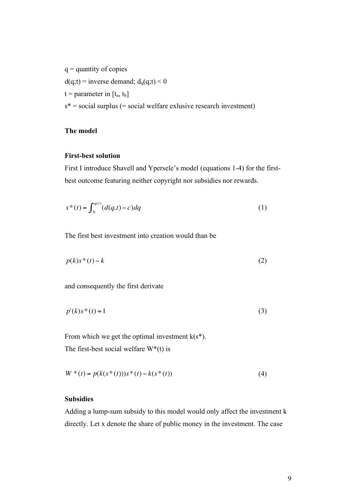$q =$  quantity of copies  $d(q;t)$  = inverse demand;  $d_q(q;t)$  < 0  $t =$  parameter in  $[t_a, t_b]$  $s^*$  = social surplus (= social welfare exlusive research investment)

# **The model**

## **First-best solution**

First I introduce Shavell and Ypersele's model (equations 1-4) for the firstbest outcome featuring neither copyright nor subsidies nor rewards.

$$
s^*(t) = \int_0^{q(t)} (d(q,t) - c) dq
$$
 (1)

The first best investment into creation would than be

$$
p(k)s^*(t) - k \tag{2}
$$

and consequently the first derivate

$$
p'(k)s^*(t) = 1\tag{3}
$$

From which we get the optimal investment  $k(s^*)$ . The first-best social welfare  $W^*(t)$  is

$$
W^*(t) = p(k(s^*(t)))s^*(t) - k(s^*(t))
$$
\n(4)

## **Subsidies**

Adding a lump-sum subsidy to this model would only affect the investment k directly. Let x denote the share of public money in the investment. The case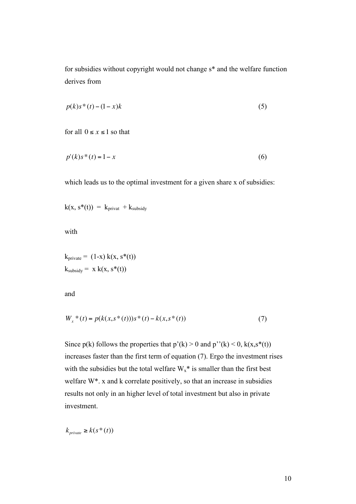for subsidies without copyright would not change s\* and the welfare function derives from

$$
p(k)s^*(t) - (1-x)k\tag{5}
$$

for all  $0 \le x \le 1$  so that

$$
p'(k)s^*(t) = 1 - x \tag{6}
$$

which leads us to the optimal investment for a given share x of subsidies:

$$
k(x, s^*(t)) = k_{\text{privat}} + k_{\text{subsidy}}
$$

with

$$
k_{\text{private}} = (1-x) k(x, s^*(t))
$$
  

$$
k_{\text{subsidy}} = x k(x, s^*(t))
$$

and

$$
W_x * (t) = p(k(x, s * (t)))s * (t) - k(x, s * (t))
$$
\n(7)

Since  $p(k)$  follows the properties that  $p'(k) > 0$  and  $p''(k) < 0$ ,  $k(x, s^*(t))$ increases faster than the first term of equation (7). Ergo the investment rises with the subsidies but the total welfare  $W_x^*$  is smaller than the first best welfare W\*. x and k correlate positively, so that an increase in subsidies results not only in an higher level of total investment but also in private investment.

 $k_{private} \geq k(s^*(t))$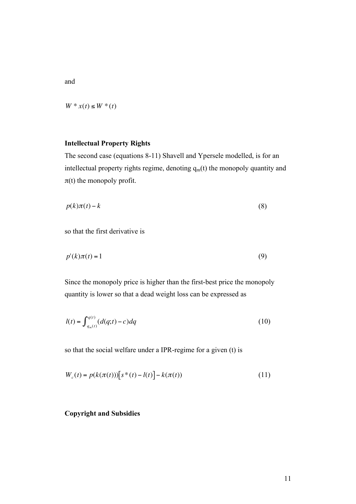and

 $W * x(t) \le W * (t)$ 

## **Intellectual Property Rights**

The second case (equations 8-11) Shavell and Ypersele modelled, is for an intellectual property rights regime, denoting  $q_m(t)$  the monopoly quantity and  $\pi(t)$  the monopoly profit.

$$
p(k)\pi(t) - k \tag{8}
$$

so that the first derivative is

$$
p'(k)\pi(t) = 1\tag{9}
$$

Since the monopoly price is higher than the first-best price the monopoly quantity is lower so that a dead weight loss can be expressed as

$$
l(t) = \int_{q_m(t)}^{q(t)} (d(q;t) - c) dq
$$
\n(10)

so that the social welfare under a IPR-regime for a given (t) is

$$
W_c(t) = p(k(\pi(t))) [s^*(t) - l(t)] - k(\pi(t))
$$
\n(11)

#### **Copyright and Subsidies**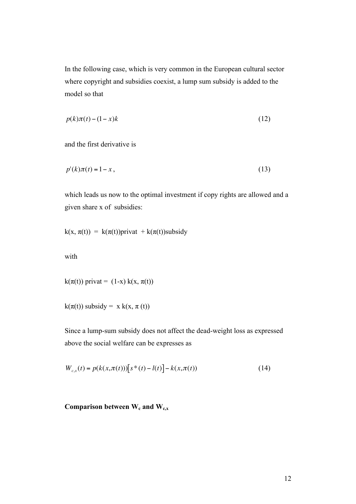In the following case, which is very common in the European cultural sector where copyright and subsidies coexist, a lump sum subsidy is added to the model so that

$$
p(k)\pi(t) - (1-x)k\tag{12}
$$

and the first derivative is

$$
p'(k)\pi(t) = 1 - x,\tag{13}
$$

which leads us now to the optimal investment if copy rights are allowed and a given share x of subsidies:

$$
k(x, \pi(t)) = k(\pi(t))
$$
privat +  $k(\pi(t))$ subsidy

with

$$
k(\pi(t))\text{ private} = (1-x)\,k(x,\pi(t))
$$

 $k(\pi(t))$  subsidy = x  $k(x, \pi(t))$ 

Since a lump-sum subsidy does not affect the dead-weight loss as expressed above the social welfare can be expresses as

$$
W_{c,x}(t) = p(k(x,\pi(t))) [s^*(t) - l(t)] - k(x,\pi(t))
$$
\n(14)

# Comparison between W<sub>c</sub> and W<sub>c,x</sub>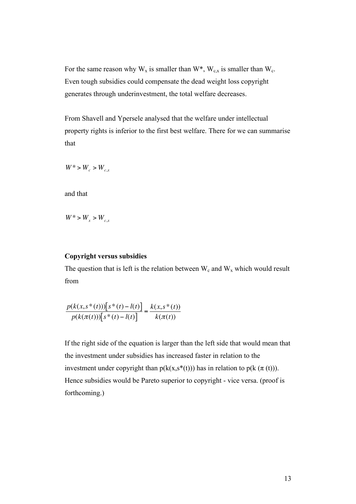For the same reason why  $W_x$  is smaller than  $W^*$ ,  $W_{c,x}$  is smaller than  $W_c$ . Even tough subsidies could compensate the dead weight loss copyright generates through underinvestment, the total welfare decreases.

From Shavell and Ypersele analysed that the welfare under intellectual property rights is inferior to the first best welfare. There for we can summarise that

$$
W^*>W_{c}>W_{c,x}
$$

and that

 $W^* > W_{x} > W_{c,x}$ 

### **Copyright versus subsidies**

The question that is left is the relation between  $W_c$  and  $W_x$  which would result from

$$
\frac{p(k(x,s^*(t))) [s^*(t) - l(t)]}{p(k(\pi(t))) [s^*(t) - l(t)]} = \frac{k(x,s^*(t))}{k(\pi(t))}
$$

If the right side of the equation is larger than the left side that would mean that the investment under subsidies has increased faster in relation to the investment under copyright than  $p(k(x, s^*(t)))$  has in relation to  $p(k(\pi(t)))$ . Hence subsidies would be Pareto superior to copyright - vice versa. (proof is forthcoming.)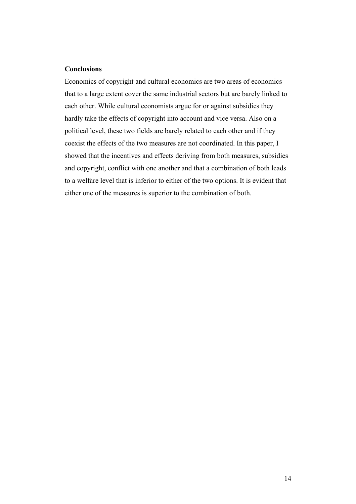## **Conclusions**

Economics of copyright and cultural economics are two areas of economics that to a large extent cover the same industrial sectors but are barely linked to each other. While cultural economists argue for or against subsidies they hardly take the effects of copyright into account and vice versa. Also on a political level, these two fields are barely related to each other and if they coexist the effects of the two measures are not coordinated. In this paper, I showed that the incentives and effects deriving from both measures, subsidies and copyright, conflict with one another and that a combination of both leads to a welfare level that is inferior to either of the two options. It is evident that either one of the measures is superior to the combination of both.